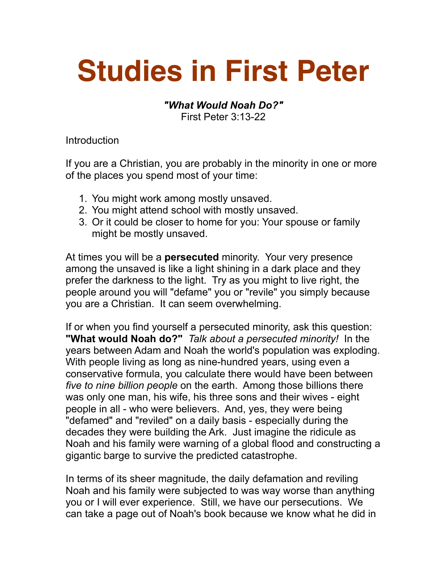## **Studies in First Peter**

## *"What Would Noah Do?"*  First Peter 3:13-22

Introduction

If you are a Christian, you are probably in the minority in one or more of the places you spend most of your time:

- 1. You might work among mostly unsaved.
- 2. You might attend school with mostly unsaved.
- 3. Or it could be closer to home for you: Your spouse or family might be mostly unsaved.

At times you will be a **persecuted** minority. Your very presence among the unsaved is like a light shining in a dark place and they prefer the darkness to the light. Try as you might to live right, the people around you will "defame" you or "revile" you simply because you are a Christian. It can seem overwhelming.

If or when you find yourself a persecuted minority, ask this question: **"What would Noah do?"** *Talk about a persecuted minority!* In the years between Adam and Noah the world's population was exploding. With people living as long as nine-hundred years, using even a conservative formula, you calculate there would have been between *five to nine billion people* on the earth. Among those billions there was only one man, his wife, his three sons and their wives - eight people in all - who were believers. And, yes, they were being "defamed" and "reviled" on a daily basis - especially during the decades they were building the Ark. Just imagine the ridicule as Noah and his family were warning of a global flood and constructing a gigantic barge to survive the predicted catastrophe.

In terms of its sheer magnitude, the daily defamation and reviling Noah and his family were subjected to was way worse than anything you or I will ever experience. Still, we have our persecutions. We can take a page out of Noah's book because we know what he did in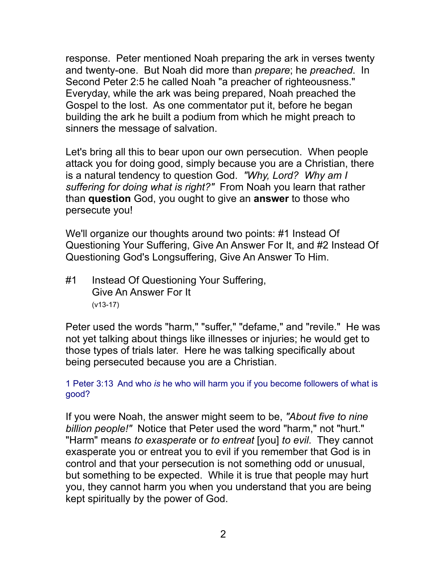response. Peter mentioned Noah preparing the ark in verses twenty and twenty-one. But Noah did more than *prepare*; he *preached*. In Second Peter 2:5 he called Noah "a preacher of righteousness." Everyday, while the ark was being prepared, Noah preached the Gospel to the lost. As one commentator put it, before he began building the ark he built a podium from which he might preach to sinners the message of salvation.

Let's bring all this to bear upon our own persecution. When people attack you for doing good, simply because you are a Christian, there is a natural tendency to question God. *"Why, Lord? Why am I suffering for doing what is right?"* From Noah you learn that rather than **question** God, you ought to give an **answer** to those who persecute you!

We'll organize our thoughts around two points: #1 Instead Of Questioning Your Suffering, Give An Answer For It, and #2 Instead Of Questioning God's Longsuffering, Give An Answer To Him.

#1 Instead Of Questioning Your Suffering, Give An Answer For It (v13-17)

Peter used the words "harm," "suffer," "defame," and "revile." He was not yet talking about things like illnesses or injuries; he would get to those types of trials later. Here he was talking specifically about being persecuted because you are a Christian.

1 Peter 3:13 And who *is* he who will harm you if you become followers of what is good?

If you were Noah, the answer might seem to be, *"About five to nine billion people!"* Notice that Peter used the word "harm," not "hurt." "Harm" means *to exasperate* or *to entreat* [you] *to evil*. They cannot exasperate you or entreat you to evil if you remember that God is in control and that your persecution is not something odd or unusual, but something to be expected. While it is true that people may hurt you, they cannot harm you when you understand that you are being kept spiritually by the power of God.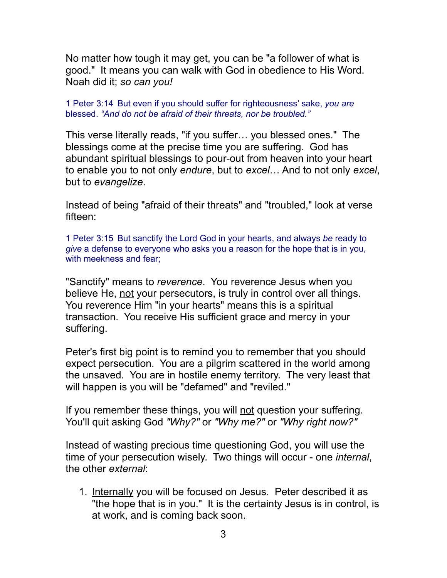No matter how tough it may get, you can be "a follower of what is good." It means you can walk with God in obedience to His Word. Noah did it; *so can you!*

1 Peter 3:14 But even if you should suffer for righteousness' sake, *you are* blessed. *"And do not be afraid of their threats, nor be troubled."*

This verse literally reads, "if you suffer… you blessed ones." The blessings come at the precise time you are suffering. God has abundant spiritual blessings to pour-out from heaven into your heart to enable you to not only *endure*, but to *excel*… And to not only *excel*, but to *evangelize*.

Instead of being "afraid of their threats" and "troubled," look at verse fifteen:

1 Peter 3:15 But sanctify the Lord God in your hearts, and always *be* ready to *give* a defense to everyone who asks you a reason for the hope that is in you, with meekness and fear;

"Sanctify" means to *reverence*. You reverence Jesus when you believe He, not your persecutors, is truly in control over all things. You reverence Him "in your hearts" means this is a spiritual transaction. You receive His sufficient grace and mercy in your suffering.

Peter's first big point is to remind you to remember that you should expect persecution. You are a pilgrim scattered in the world among the unsaved. You are in hostile enemy territory. The very least that will happen is you will be "defamed" and "reviled."

If you remember these things, you will not question your suffering. You'll quit asking God *"Why?"* or *"Why me?"* or *"Why right now?"*

Instead of wasting precious time questioning God, you will use the time of your persecution wisely. Two things will occur - one *internal*, the other *external*:

1. Internally you will be focused on Jesus. Peter described it as "the hope that is in you." It is the certainty Jesus is in control, is at work, and is coming back soon.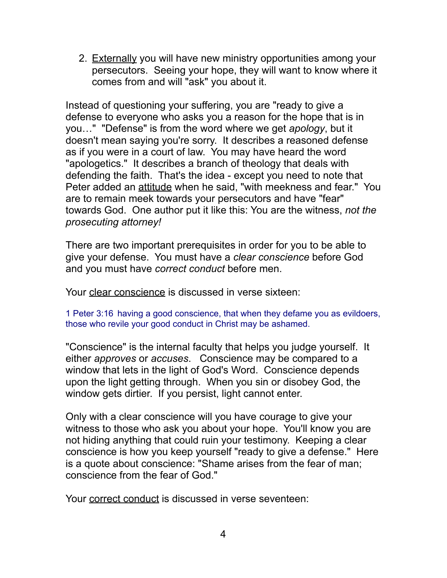2. Externally you will have new ministry opportunities among your persecutors. Seeing your hope, they will want to know where it comes from and will "ask" you about it.

Instead of questioning your suffering, you are "ready to give a defense to everyone who asks you a reason for the hope that is in you…" "Defense" is from the word where we get *apology*, but it doesn't mean saying you're sorry. It describes a reasoned defense as if you were in a court of law. You may have heard the word "apologetics." It describes a branch of theology that deals with defending the faith. That's the idea - except you need to note that Peter added an attitude when he said, "with meekness and fear." You are to remain meek towards your persecutors and have "fear" towards God. One author put it like this: You are the witness, *not the prosecuting attorney!* 

There are two important prerequisites in order for you to be able to give your defense. You must have a *clear conscience* before God and you must have *correct conduct* before men.

Your clear conscience is discussed in verse sixteen:

1 Peter 3:16 having a good conscience, that when they defame you as evildoers, those who revile your good conduct in Christ may be ashamed.

"Conscience" is the internal faculty that helps you judge yourself. It either *approves* or *accuses*. Conscience may be compared to a window that lets in the light of God's Word. Conscience depends upon the light getting through. When you sin or disobey God, the window gets dirtier. If you persist, light cannot enter.

Only with a clear conscience will you have courage to give your witness to those who ask you about your hope. You'll know you are not hiding anything that could ruin your testimony. Keeping a clear conscience is how you keep yourself "ready to give a defense." Here is a quote about conscience: "Shame arises from the fear of man; conscience from the fear of God."

Your correct conduct is discussed in verse seventeen: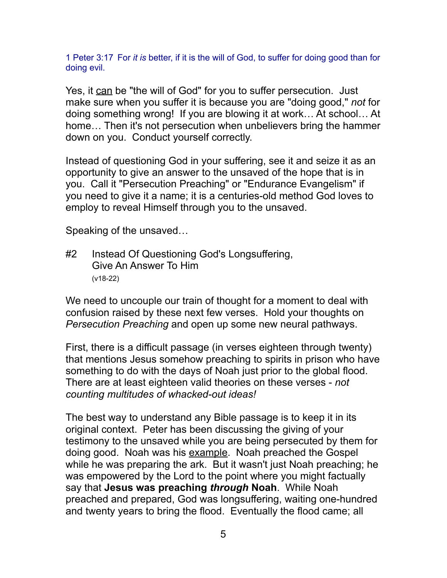1 Peter 3:17 For *it is* better, if it is the will of God, to suffer for doing good than for doing evil.

Yes, it can be "the will of God" for you to suffer persecution. Just make sure when you suffer it is because you are "doing good," *not* for doing something wrong! If you are blowing it at work… At school… At home… Then it's not persecution when unbelievers bring the hammer down on you. Conduct yourself correctly.

Instead of questioning God in your suffering, see it and seize it as an opportunity to give an answer to the unsaved of the hope that is in you. Call it "Persecution Preaching" or "Endurance Evangelism" if you need to give it a name; it is a centuries-old method God loves to employ to reveal Himself through you to the unsaved.

Speaking of the unsaved…

#2 Instead Of Questioning God's Longsuffering, Give An Answer To Him (v18-22)

We need to uncouple our train of thought for a moment to deal with confusion raised by these next few verses. Hold your thoughts on *Persecution Preaching* and open up some new neural pathways.

First, there is a difficult passage (in verses eighteen through twenty) that mentions Jesus somehow preaching to spirits in prison who have something to do with the days of Noah just prior to the global flood. There are at least eighteen valid theories on these verses - *not counting multitudes of whacked-out ideas!* 

The best way to understand any Bible passage is to keep it in its original context. Peter has been discussing the giving of your testimony to the unsaved while you are being persecuted by them for doing good. Noah was his example. Noah preached the Gospel while he was preparing the ark. But it wasn't just Noah preaching; he was empowered by the Lord to the point where you might factually say that **Jesus was preaching** *through* **Noah**. While Noah preached and prepared, God was longsuffering, waiting one-hundred and twenty years to bring the flood. Eventually the flood came; all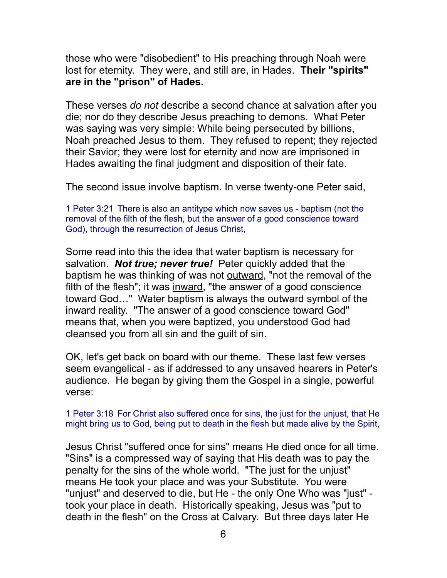those who were "disobedient" to His preaching through Noah were lost for eternity. They were, and still are, in Hades. **Their "spirits" are in the "prison" of Hades.** 

These verses *do not* describe a second chance at salvation after you die; nor do they describe Jesus preaching to demons. What Peter was saying was very simple: While being persecuted by billions, Noah preached Jesus to them. They refused to repent; they rejected their Savior; they were lost for eternity and now are imprisoned in Hades awaiting the final judgment and disposition of their fate.

The second issue involve baptism. In verse twenty-one Peter said,

1 Peter 3:21 There is also an antitype which now saves us - baptism (not the removal of the filth of the flesh, but the answer of a good conscience toward God), through the resurrection of Jesus Christ,

Some read into this the idea that water baptism is necessary for salvation. *Not true; never true!* Peter quickly added that the baptism he was thinking of was not outward, "not the removal of the filth of the flesh"; it was inward, "the answer of a good conscience toward God…" Water baptism is always the outward symbol of the inward reality. "The answer of a good conscience toward God" means that, when you were baptized, you understood God had cleansed you from all sin and the guilt of sin.

OK, let's get back on board with our theme. These last few verses seem evangelical - as if addressed to any unsaved hearers in Peter's audience. He began by giving them the Gospel in a single, powerful verse:

1 Peter 3:18 For Christ also suffered once for sins, the just for the unjust, that He might bring us to God, being put to death in the flesh but made alive by the Spirit,

Jesus Christ "suffered once for sins" means He died once for all time. "Sins" is a compressed way of saying that His death was to pay the penalty for the sins of the whole world. "The just for the unjust" means He took your place and was your Substitute. You were "unjust" and deserved to die, but He - the only One Who was "just" took your place in death. Historically speaking, Jesus was "put to death in the flesh" on the Cross at Calvary. But three days later He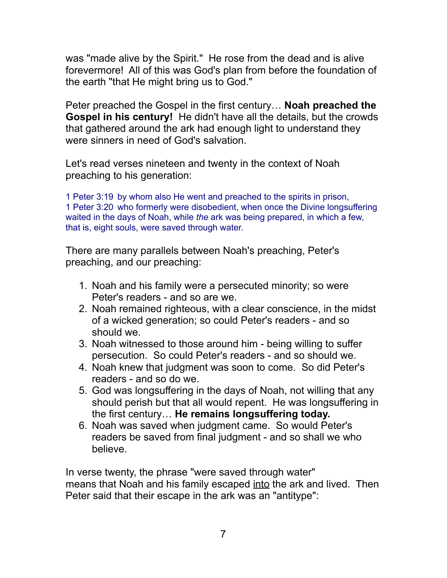was "made alive by the Spirit." He rose from the dead and is alive forevermore! All of this was God's plan from before the foundation of the earth "that He might bring us to God."

Peter preached the Gospel in the first century… **Noah preached the Gospel in his century!** He didn't have all the details, but the crowds that gathered around the ark had enough light to understand they were sinners in need of God's salvation.

Let's read verses nineteen and twenty in the context of Noah preaching to his generation:

1 Peter 3:19 by whom also He went and preached to the spirits in prison, 1 Peter 3:20 who formerly were disobedient, when once the Divine longsuffering waited in the days of Noah, while *the* ark was being prepared, in which a few, that is, eight souls, were saved through water.

There are many parallels between Noah's preaching, Peter's preaching, and our preaching:

- 1. Noah and his family were a persecuted minority; so were Peter's readers - and so are we.
- 2. Noah remained righteous, with a clear conscience, in the midst of a wicked generation; so could Peter's readers - and so should we.
- 3. Noah witnessed to those around him being willing to suffer persecution. So could Peter's readers - and so should we.
- 4. Noah knew that judgment was soon to come. So did Peter's readers - and so do we.
- 5. God was longsuffering in the days of Noah, not willing that any should perish but that all would repent. He was longsuffering in the first century… **He remains longsuffering today.**
- 6. Noah was saved when judgment came. So would Peter's readers be saved from final judgment - and so shall we who believe.

In verse twenty, the phrase "were saved through water" means that Noah and his family escaped into the ark and lived. Then Peter said that their escape in the ark was an "antitype":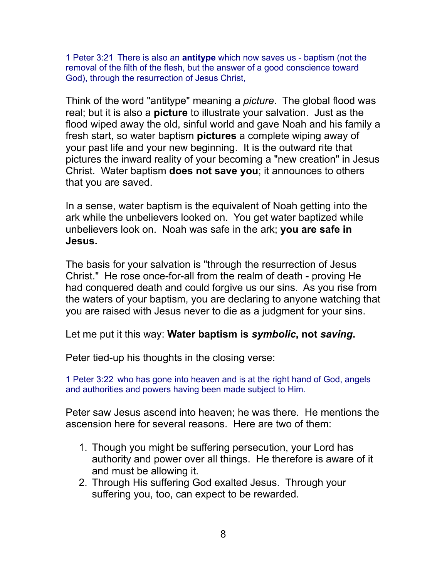1 Peter 3:21 There is also an **antitype** which now saves us - baptism (not the removal of the filth of the flesh, but the answer of a good conscience toward God), through the resurrection of Jesus Christ,

Think of the word "antitype" meaning a *picture*. The global flood was real; but it is also a **picture** to illustrate your salvation. Just as the flood wiped away the old, sinful world and gave Noah and his family a fresh start, so water baptism **pictures** a complete wiping away of your past life and your new beginning. It is the outward rite that pictures the inward reality of your becoming a "new creation" in Jesus Christ. Water baptism **does not save you**; it announces to others that you are saved.

In a sense, water baptism is the equivalent of Noah getting into the ark while the unbelievers looked on. You get water baptized while unbelievers look on. Noah was safe in the ark; **you are safe in Jesus.**

The basis for your salvation is "through the resurrection of Jesus Christ." He rose once-for-all from the realm of death - proving He had conquered death and could forgive us our sins. As you rise from the waters of your baptism, you are declaring to anyone watching that you are raised with Jesus never to die as a judgment for your sins.

Let me put it this way: **Water baptism is** *symbolic***, not** *saving***.**

Peter tied-up his thoughts in the closing verse:

1 Peter 3:22 who has gone into heaven and is at the right hand of God, angels and authorities and powers having been made subject to Him.

Peter saw Jesus ascend into heaven; he was there. He mentions the ascension here for several reasons. Here are two of them:

- 1. Though you might be suffering persecution, your Lord has authority and power over all things. He therefore is aware of it and must be allowing it.
- 2. Through His suffering God exalted Jesus. Through your suffering you, too, can expect to be rewarded.